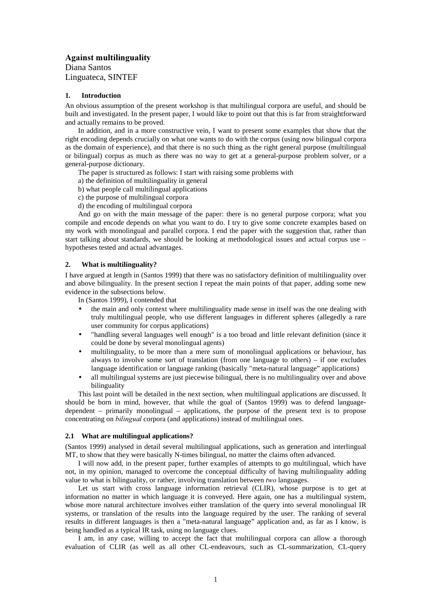# Against multilinguality

Diana Santos Linguateca, SINTEF

### **1. Introduction**

An obvious assumption of the present workshop is that multilingual corpora are useful, and should be built and investigated. In the present paper, I would like to point out that this is far from straightforward and actually remains to be proved.

In addition, and in a more constructive vein, I want to present some examples that show that the right encoding depends crucially on what one wants to do with the corpus (using now bilingual corpora as the domain of experience), and that there is no such thing as the right general purpose (multilingual or bilingual) corpus as much as there was no way to get at a general-purpose problem solver, or a general-purpose dictionary.

The paper is structured as follows: I start with raising some problems with

- a) the definition of multilinguality in general
- b) what people call multilingual applications
- c) the purpose of multilingual corpora
- d) the encoding of multilingual corpora

And go on with the main message of the paper: there is no general purpose corpora; what you compile and encode depends on what you want to do. I try to give some concrete examples based on my work with monolingual and parallel corpora. I end the paper with the suggestion that, rather than start talking about standards, we should be looking at methodological issues and actual corpus use – hypotheses tested and actual advantages.

# **2. What is multilinguality?**

I have argued at length in (Santos 1999) that there was no satisfactory definition of multilinguality over and above bilinguality. In the present section I repeat the main points of that paper, adding some new evidence in the subsections below.

In (Santos 1999), I contended that

- the main and only context where multilinguality made sense in itself was the one dealing with truly multilingual people, who use different languages in different spheres (allegedly a rare user community for corpus applications)
- "handling several languages well enough" is a too broad and little relevant definition (since it could be done by several monolingual agents)
- multilinguality, to be more than a mere sum of monolingual applications or behaviour, has always to involve some sort of translation (from one language to others) – if one excludes language identification or language ranking (basically "meta-natural language" applications)
- all multilingual systems are just piecewise bilingual, there is no multilinguality over and above bilinguality

This last point will be detailed in the next section, when multilingual applications are discussed. It should be born in mind, however, that while the goal of (Santos 1999) was to defend languagedependent – primarily monolingual – applications, the purpose of the present text is to propose concentrating on *bilingual* corpora (and applications) instead of multilingual ones.

# **2.1 What are multilingual applications?**

(Santos 1999) analysed in detail several multilingual applications, such as generation and interlingual MT, to show that they were basically N-times bilingual, no matter the claims often advanced.

I will now add, in the present paper, further examples of attempts to go multilingual, which have not, in my opinion, managed to overcome the conceptual difficulty of having multilinguality adding value to what is bilinguality, or rather, involving translation between two languages.

Let us start with cross language information retrieval (CLIR), whose purpose is to get at information no matter in which language it is conveyed. Here again, one has a multilingual system, whose more natural architecture involves either translation of the query into several monolingual IR systems, or translation of the results into the language required by the user. The ranking of several results in different languages is then a "meta-natural language" application and, as far as I know, is being handled as a typical IR task, using no language clues.

I am, in any case, willing to accept the fact that multilingual corpora can allow a thorough evaluation of CLIR (as well as all other CL-endeavours, such as CL-summarization, CL-query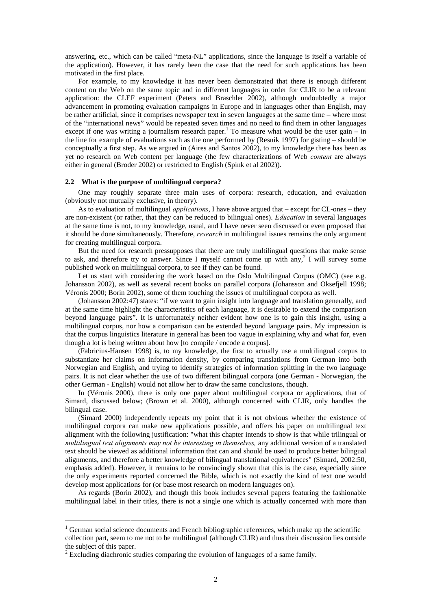answering, etc., which can be called "meta-NL" applications, since the language is itself a variable of the application). However, it has rarely been the case that the need for such applications has been motivated in the first place.

For example, to my knowledge it has never been demonstrated that there is enough different content on the Web on the same topic and in different languages in order for CLIR to be a relevant application: the CLEF experiment (Peters and Braschler 2002), although undoubtedly a major advancement in promoting evaluation campaigns in Europe and in languages other than English, may be rather artificial, since it comprises newspaper text in seven languages at the same time – where most of the "international news" would be repeated seven times and no need to find them in other languages except if one was writing a journalism research paper.<sup>1</sup> To measure what would be the user gain – in the line for example of evaluations such as the one performed by (Resnik 1997) for gisting – should be conceptually a first step. As we argued in (Aires and Santos 2002), to my knowledge there has been as yet no research on Web content per language (the few characterizations of Web *content* are always either in general (Broder 2002) or restricted to English (Spink et al 2002)).

# **2.2 What is the purpose of multilingual corpora?**

One may roughly separate three main uses of corpora: research, education, and evaluation (obviously not mutually exclusive, in theory).

As to evaluation of multilingual *applications*, I have above argued that – except for CL-ones – they are non-existent (or rather, that they can be reduced to bilingual ones). *Education* in several languages at the same time is not, to my knowledge, usual, and I have never seen discussed or even proposed that it should be done simultaneously. Therefore, research in multilingual issues remains the only argument for creating multilingual corpora.

But the need for research pressupposes that there are truly multilingual questions that make sense to ask, and therefore try to answer. Since I myself cannot come up with any,<sup>2</sup> I will survey some published work on multilingual corpora, to see if they can be found.

Let us start with considering the work based on the Oslo Multilingual Corpus (OMC) (see e.g. Johansson 2002), as well as several recent books on parallel corpora (Johansson and Oksefjell 1998; Véronis 2000; Borin 2002), some of them touching the issues of multilingual corpora as well.

(Johansson 2002:47) states: "if we want to gain insight into language and translation generally, and at the same time highlight the characteristics of each language, it is desirable to extend the comparison beyond language pairs". It is unfortunately neither evident how one is to gain this insight, using a multilingual corpus, nor how a comparison can be extended beyond language pairs. My impression is that the corpus linguistics literature in general has been too vague in explaining why and what for, even though a lot is being written about how [to compile / encode a corpus].

(Fabricius-Hansen 1998) is, to my knowledge, the first to actually use a multilingual corpus to substantiate her claims on information density, by comparing translations from German into both Norwegian and English, and trying to identify strategies of information splitting in the two language pairs. It is not clear whether the use of two different bilingual corpora (one German - Norwegian, the other German - English) would not allow her to draw the same conclusions, though.

In (Véronis 2000), there is only one paper about multilingual corpora or applications, that of Simard, discussed below; (Brown et al. 2000), although concerned with CLIR, only handles the bilingual case.

(Simard 2000) independently repeats my point that it is not obvious whether the existence of multilingual corpora can make new applications possible, and offers his paper on multilingual text alignment with the following justification: "what this chapter intends to show is that while trilingual or multilingual text alignments may not be interesting in themselves, any additional version of a translated text should be viewed as additional information that can and should be used to produce better bilingual alignments, and therefore a better knowledge of bilingual translational equivalences" (Simard, 2002:50, emphasis added). However, it remains to be convincingly shown that this is the case, especially since the only experiments reported concerned the Bible, which is not exactly the kind of text one would develop most applications for (or base most research on modern languages on).

As regards (Borin 2002), and though this book includes several papers featuring the fashionable multilingual label in their titles, there is not a single one which is actually concerned with more than

-

<sup>&</sup>lt;sup>1</sup> German social science documents and French bibliographic references, which make up the scientific collection part, seem to me not to be multilingual (although CLIR) and thus their discussion lies outside the subject of this paper.

 $2^{2}$  Excluding diachronic studies comparing the evolution of languages of a same family.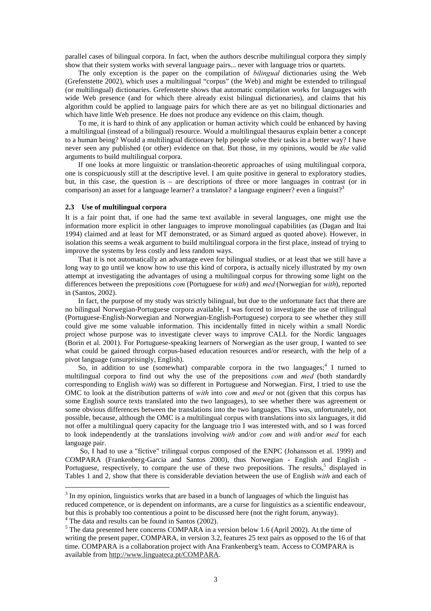parallel cases of bilingual corpora. In fact, when the authors describe multilingual corpora they simply show that their system works with several language pairs... never with language trios or quartets.

The only exception is the paper on the compilation of *bilingual* dictionaries using the Web (Grefenstette 2002), which uses a multilingual "corpus" (the Web) and might be extended to trilingual (or multilingual) dictionaries. Grefenstette shows that automatic compilation works for languages with wide Web presence (and for which there already exist bilingual dictionaries), and claims that his algorithm could be applied to language pairs for which there are as yet no bilingual dictionaries and which have little Web presence. He does not produce any evidence on this claim, though.

To me, it is hard to think of any application or human activity which could be enhanced by having a multilingual (instead of a bilingual) resource. Would a multilingual thesaurus explain better a concept to a human being? Would a multilingual dictionary help people solve their tasks in a better way? I have never seen any published (or other) evidence on that. But those, in my opinions, would be the valid arguments to build multilingual corpora.

If one looks at more linguistic or translation-theoretic approaches of using multilingual corpora, one is conspicuously still at the descriptive level. I am quite positive in general to exploratory studies, but, in this case, the question is – are descriptions of three or more languages in contrast (or in comparison) an asset for a language learner? a translator? a language engineer? even a linguist?<sup>3</sup>

#### **2.3 Use of multilingual corpora**

-

It is a fair point that, if one had the same text available in several languages, one might use the information more explicit in other languages to improve monolingual capabilities (as (Dagan and Itai 1994) claimed and at least for MT demonstrated, or as Simard argued as quoted above). However, in isolation this seems a weak argument to build multilingual corpora in the first place, instead of trying to improve the systems by less costly and less random ways.

That it is not automatically an advantage even for bilingual studies, or at least that we still have a long way to go until we know how to use this kind of corpora, is actually nicely illustrated by my own attempt at investigating the advantages of using a multilingual corpus for throwing some light on the differences between the prepositions  $com$  (Portuguese for with) and  $med$  (Norwegian for with), reported in (Santos, 2002).

In fact, the purpose of my study was strictly bilingual, but due to the unfortunate fact that there are no bilingual Norwegian-Portuguese corpora available, I was forced to investigate the use of trilingual (Portuguese-English-Norwegian and Norwegian-English-Portuguese) corpora to see whether they still could give me some valuable information. This incidentally fitted in nicely within a small Nordic project whose purpose was to investigate clever ways to improve CALL for the Nordic languages (Borin et al. 2001). For Portuguese-speaking learners of Norwegian as the user group, I wanted to see what could be gained through corpus-based education resources and/or research, with the help of a pivot language (unsurprisingly, English).

So, in addition to use (somewhat) comparable corpora in the two languages;<sup>4</sup> I turned to multilingual corpora to find out why the use of the prepositions *com* and med (both standardly corresponding to English with) was so different in Portuguese and Norwegian. First, I tried to use the OMC to look at the distribution patterns of *with* into *com* and *med* or not (given that this corpus has some English source texts translated into the two languages), to see whether there was agreement or some obvious differences between the translations into the two languages. This was, unfortunately, not possible, because, although the OMC is a multilingual corpus with translations into six languages, it did not offer a multilingual query capacity for the language trio I was interested with, and so I was forced to look independently at the translations involving with and/or com and with and/or med for each language pair.

So, I had to use a "fictive" trilingual corpus composed of the ENPC (Johansson et al. 1999) and COMPARA (Frankenberg-Garcia and Santos 2000), thus Norwegian - English and English - Portuguese, respectively, to compare the use of these two prepositions. The results,<sup>5</sup> displayed in Tables 1 and 2, show that there is considerable deviation between the use of English with and each of

 $3$  In my opinion, linguistics works that are based in a bunch of languages of which the linguist has reduced competence, or is dependent on informants, are a curse for linguistics as a scientific endeavour, but this is probably too contentious a point to be discussed here (not the right forum, anyway). <sup>4</sup> The data and results can be found in Santos (2002).

<sup>&</sup>lt;sup>5</sup> The data presented here concerns COMPARA in a version below 1.6 (April 2002). At the time of writing the present paper, COMPARA, in version 3.2, features 25 text pairs as opposed to the 16 of that time. COMPARA is a collaboration project with Ana Frankenberg's team. Access to COMPARA is available from http://www.linguateca.pt/COMPARA.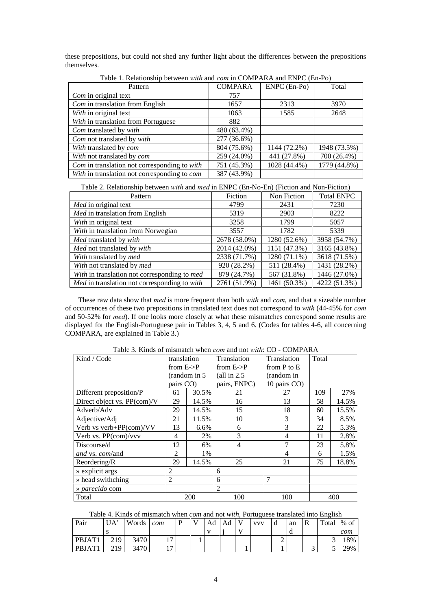these prepositions, but could not shed any further light about the differences between the prepositions themselves.

| r aciv 1. Renationship cette cent <i>while</i> and compari contract and Eight C (Ein 19) |                |                |              |  |  |  |  |  |  |  |  |  |
|------------------------------------------------------------------------------------------|----------------|----------------|--------------|--|--|--|--|--|--|--|--|--|
| Pattern                                                                                  | <b>COMPARA</b> | $ENPC$ (En-Po) | Total        |  |  |  |  |  |  |  |  |  |
| Com in original text                                                                     | 757            |                |              |  |  |  |  |  |  |  |  |  |
| Com in translation from English                                                          | 1657           | 2313           | 3970         |  |  |  |  |  |  |  |  |  |
| With in original text                                                                    | 1063           | 1585           | 2648         |  |  |  |  |  |  |  |  |  |
| With in translation from Portuguese                                                      | 882            |                |              |  |  |  |  |  |  |  |  |  |
| Com translated by with                                                                   | 480 (63.4%)    |                |              |  |  |  |  |  |  |  |  |  |
| Com not translated by with                                                               | 277 (36.6%)    |                |              |  |  |  |  |  |  |  |  |  |
| With translated by com                                                                   | 804 (75.6%)    | 1144 (72.2%)   | 1948 (73.5%) |  |  |  |  |  |  |  |  |  |
| With not translated by <i>com</i>                                                        | 259 (24.0%)    | 441 (27.8%)    | 700 (26.4%)  |  |  |  |  |  |  |  |  |  |
| Com in translation not corresponding to with                                             | 751 (45.3%)    | 1028 (44.4%)   | 1779 (44.8%) |  |  |  |  |  |  |  |  |  |
| With in translation not corresponding to com                                             | 387 (43.9%)    |                |              |  |  |  |  |  |  |  |  |  |

Table 1. Relationship between with and com in COMPARA and ENPC (En-Po)

Table 2. Relationship between *with* and *med* in ENPC (En-No-En) (Fiction and Non-Fiction)

| Pattern                                      | Fiction      | Non Fiction  | <b>Total ENPC</b> |
|----------------------------------------------|--------------|--------------|-------------------|
| Med in original text                         | 4799         | 2431         | 7230              |
| Med in translation from English              | 5319         | 2903         | 8222              |
| With in original text                        | 3258         | 1799         | 5057              |
| With in translation from Norwegian           | 3557         | 1782         | 5339              |
| Med translated by with                       | 2678 (58.0%) | 1280 (52.6%) | 3958 (54.7%)      |
| Med not translated by with                   | 2014 (42.0%) | 1151 (47.3%) | 3165 (43.8%)      |
| With translated by med                       | 2338 (71.7%) | 1280 (71.1%) | 3618 (71.5%)      |
| With not translated by med                   | 920 (28.2%)  | 511 (28.4%)  | 1431 (28.2%)      |
| With in translation not corresponding to med | 879 (24.7%)  | 567 (31.8%)  | 1446 (27.0%)      |
| Med in translation not corresponding to with | 2761 (51.9%) | 1461 (50.3%) | 4222 (51.3%)      |

These raw data show that med is more frequent than both with and com, and that a sizeable number of occurrences of these two prepositions in translated text does not correspond to with  $(44-45\%$  for  $com$ and 50-52% for med). If one looks more closely at what these mismatches correspond some results are displayed for the English-Portuguese pair in Tables 3, 4, 5 and 6. (Codes for tables 4-6, all concerning COMPARA, are explained in Table 3.)

| Kind / Code                    | translation           |               | Translation            | Translation     | Total |       |
|--------------------------------|-----------------------|---------------|------------------------|-----------------|-------|-------|
|                                | from $E\rightarrow P$ |               | from $E \rightarrow P$ | from $P$ to $E$ |       |       |
|                                |                       | (random in 5) | (all in $2.5$          | (random in      |       |       |
|                                | pairs CO)             |               | pairs, ENPC)           | 10 pairs CO)    |       |       |
| Different preposition/P        | 61                    | 30.5%         | 21                     | 27              | 109   | 27%   |
| Direct object vs. PP(com)/V    | 29                    | 14.5%         | 16                     | 13              | 58    | 14.5% |
| Adverb/Adv                     | 29                    | 14.5%         | 15                     | 18              | 60    | 15.5% |
| Adjective/Adj                  | 21                    | 11.5%         | 10                     | 3               | 34    | 8.5%  |
| Verb vs verb+PP(com)/VV        | 13                    | 6.6%          | 6                      | 3               | 22    | 5.3%  |
| Verb vs. PP(com)/vvv           | 4                     | 2%            | 3                      | $\overline{4}$  | 11    | 2.8%  |
| Discourse/d                    | 12                    | 6%            | 4                      | 7               | 23    | 5.8%  |
| <i>and</i> vs. <i>com</i> /and | 2                     | 1%            |                        | 4               | 6     | 1.5%  |
| Reordering/R                   | 29                    | 14.5%         | 25                     | 21              | 75    | 18.8% |
| » explicit args                | $\overline{c}$        |               | 6                      |                 |       |       |
| » head swithching              | 2                     |               | 6                      | $\overline{7}$  |       |       |
| » parecido com                 |                       |               | $\overline{2}$         |                 |       |       |
| Total                          |                       | 200           | 100                    | 100             |       | 400   |

Table 3. Kinds of mismatch when com and not with: CO - COMPARA

| Table 4. Kinds of mismatch when <i>com</i> and not <i>with</i> , Portuguese translated into English |  |  |  |  |  |  |  |
|-----------------------------------------------------------------------------------------------------|--|--|--|--|--|--|--|
|                                                                                                     |  |  |  |  |  |  |  |

| Pair   | UA' | Words | com            | T | Ad | Ad | $\mathbf{V}$ | <b>VVV</b> | an | R | Total | $%$ of |
|--------|-----|-------|----------------|---|----|----|--------------|------------|----|---|-------|--------|
|        |     |       |                |   |    |    | <b>Y</b> 7   |            |    |   |       | com    |
| PBJAT1 | 219 | 3470  | $\overline{ }$ |   |    |    |              |            |    |   |       | 18%    |
| PBJAT1 | 219 | 3470  | $\overline{ }$ |   |    |    |              |            |    |   |       | 29%    |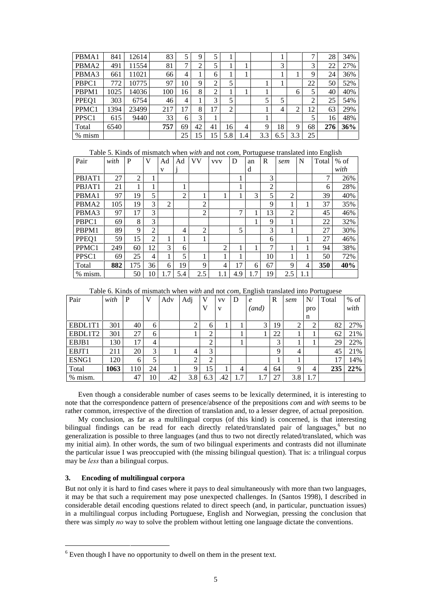| PBMA1             | 841  | 12614 | 83  | 5  |    |    |                |     |     |     |     | ⇁  | 28  | 34% |
|-------------------|------|-------|-----|----|----|----|----------------|-----|-----|-----|-----|----|-----|-----|
| PBMA <sub>2</sub> | 491  | 11554 | 81  |    |    |    |                |     |     | 3   |     | 3  | 22  | 27% |
| PBMA3             | 661  | 11021 | 66  | 4  |    | 6  |                |     |     |     |     | 9  | 24  | 36% |
| PBPC1             | 772  | 10775 | 97  | 10 | 9  | 2  | 5              |     |     |     |     | 22 | 50  | 52% |
| PBPM1             | 1025 | 14036 | 100 | 16 | 8  | ∍  |                |     |     |     | 6   |    | 40  | 40% |
| PPEQ1             | 303  | 6754  | 46  | 4  |    | 3  |                |     |     |     |     | ◠  | 25  | 54% |
| PPMC1             | 1394 | 23499 | 217 | 17 | 8  | 17 | $\mathfrak{D}$ |     |     | 4   | ◠   | 12 | 63  | 29% |
| PPSC <sub>1</sub> | 615  | 9440  | 33  | 6  | 3  |    |                |     |     |     |     |    | 16  | 48% |
| Total             | 6540 |       | 757 | 69 | 42 | 41 | 16             | 4   | 9   | 18  | 9   | 68 | 276 | 36% |
| $%$ mism          |      |       |     | 25 | 15 | 15 | 5.8            | 1.4 | 3.3 | 6.5 | 3.3 | 25 |     |     |

| Table 5. Kinds of mismatch when with and not com, Portuguese translated into English |  |  |
|--------------------------------------------------------------------------------------|--|--|
|                                                                                      |  |  |

| Pair              | with | P              | V  | Ad             | Ad             | VV             | <b>VVV</b> | D   | an  | R              | sem            | N   | Total | $%$ of |
|-------------------|------|----------------|----|----------------|----------------|----------------|------------|-----|-----|----------------|----------------|-----|-------|--------|
|                   |      |                |    | V              |                |                |            |     | d   |                |                |     |       | with   |
| PBJAT1            | 27   | $\overline{2}$ |    |                |                |                |            |     |     | 3              |                |     | 7     | 26%    |
| PBJAT1            | 21   |                |    |                |                |                |            |     |     | $\overline{2}$ |                |     | 6     | 28%    |
| PBMA1             | 97   | 19             | 5  |                | $\overline{2}$ | 1<br>T         |            |     | 3   | 5              | $\mathcal{D}$  |     | 39    | 40%    |
| PBMA <sub>2</sub> | 105  | 19             | 3  | $\overline{c}$ |                | $\overline{2}$ |            |     |     | 9              |                |     | 37    | 35%    |
| PBMA3             | 97   | 17             | 3  |                |                | $\overline{2}$ |            | 7   | 1   | 13             | $\overline{2}$ |     | 45    | 46%    |
| PBPC1             | 69   | 8              | 3  |                |                |                |            |     |     | 9              |                |     | 22    | 32%    |
| PBPM1             | 89   | 9              | 2  |                | 4              | $\overline{2}$ |            | 5   |     | 3              |                |     | 27    | 30%    |
| PPEQ1             | 59   | 15             | 2  |                |                | 1              |            |     |     | 6              |                |     | 27    | 46%    |
| PPMC1             | 249  | 60             | 12 | 3              | 6              |                | 2          |     |     | 7              |                |     | 94    | 38%    |
| PPSC <sub>1</sub> | 69   | 25             | 4  |                | 5              | 1              |            |     |     | 10             |                |     | 50    | 72%    |
| Total             | 882  | 175            | 36 | 6              | 19             | 9              | 4          | 17  | 6   | 67             | 9              | 4   | 350   | 40%    |
| % mism.           |      | 50             | 10 | 1.7            | 5.4            | 2.5            | 1.1        | 4.9 | 1.7 | 19             | 2.5            | 1.1 |       |        |

Table 6. Kinds of mismatch when *with* and not *com*, English translated into Portuguese

| Pair    | with | P   | V  | Adv | Adj | V      | <b>VV</b> | $\overline{\phantom{a}}$<br>D | ັ<br>$\epsilon$ | $\mathbb{R}$ | sem | N   | ັ<br>Total | $%$ of |
|---------|------|-----|----|-----|-----|--------|-----------|-------------------------------|-----------------|--------------|-----|-----|------------|--------|
|         |      |     |    |     |     | v      | V         |                               | (and)           |              |     | pro |            | with   |
|         |      |     |    |     |     |        |           |                               |                 |              |     | n   |            |        |
| EBDL1T1 | 301  | 40  | 6  |     | 2   | 6      |           |                               | 3               | 19           | 2   | 2   | 82         | 27%    |
| EBDL1T2 | 301  | 27  | 6  |     | л.  | 2      |           |                               |                 | 22           |     |     | 62         | 21%    |
| EBJB1   | 130  | 17  | 4  |     |     | ◠<br>∠ |           |                               |                 | 3            |     |     | 29         | 22%    |
| EBJT1   | 211  | 20  | 3  |     | 4   | 3      |           |                               |                 | $\mathbf Q$  | 4   |     | 45         | 21%    |
| ESNG1   | 120  | 6   | 5  |     | 2   | 2      |           |                               |                 |              |     |     | 17         | 14%    |
| Total   | 1063 | 110 | 24 |     | 9   | 15     |           | 4                             | 4               | 64           | 9   | 4   | 235        | 22%    |
| % mism. |      | 47  | 10 | .42 | 3.8 | 6.3    | .42       | 1.7                           |                 | 27           | 3.8 | 1.7 |            |        |

Even though a considerable number of cases seems to be lexically determined, it is interesting to note that the correspondence pattern of presence/absence of the prepositions *com* and *with* seems to be rather common, irrespective of the direction of translation and, to a lesser degree, of actual preposition.

My conclusion, as far as a multilingual corpus (of this kind) is concerned, is that interesting bilingual findings can be read for each directly related/translated pair of languages,<sup>6</sup> but no generalization is possible to three languages (and thus to two not directly related/translated, which was my initial aim). In other words, the sum of two bilingual experiments and contrasts did not illuminate the particular issue I was preoccupied with (the missing bilingual question). That is: a trilingual corpus may be less than a bilingual corpus.

# **3. Encoding of multilingual corpora**

-

But not only it is hard to find cases where it pays to deal simultaneously with more than two languages, it may be that such a requirement may pose unexpected challenges. In (Santos 1998), I described in considerable detail encoding questions related to direct speech (and, in particular, punctuation issues) in a multilingual corpus including Portuguese, English and Norwegian, pressing the conclusion that there was simply no way to solve the problem without letting one language dictate the conventions.

<sup>&</sup>lt;sup>6</sup> Even though I have no opportunity to dwell on them in the present text.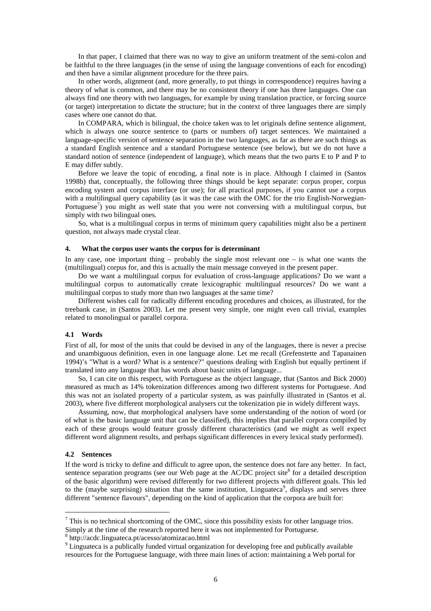In that paper, I claimed that there was no way to give an uniform treatment of the semi-colon and be faithful to the three languages (in the sense of using the language conventions of each for encoding) and then have a similar alignment procedure for the three pairs.

In other words, alignment (and, more generally, to put things in correspondence) requires having a theory of what is common, and there may be no consistent theory if one has three languages. One can always find one theory with two languages, for example by using translation practice, or forcing source (or target) interpretation to dictate the structure; but in the context of three languages there are simply cases where one cannot do that.

In COMPARA, which is bilingual, the choice taken was to let originals define sentence alignment, which is always one source sentence to (parts or numbers of) target sentences. We maintained a language-specific version of sentence separation in the two languages, as far as there are such things as a standard English sentence and a standard Portuguese sentence (see below), but we do not have a standard notion of sentence (independent of language), which means that the two parts E to P and P to E may differ subtly.

Before we leave the topic of encoding, a final note is in place. Although I claimed in (Santos 1998b) that, conceptually, the following three things should be kept separate: corpus proper, corpus encoding system and corpus interface (or use); for all practical purposes, if you cannot use a corpus with a multilingual query capability (as it was the case with the OMC for the trio English-Norwegian-Portuguese<sup>7</sup>) you might as well state that you were not conversing with a multilingual corpus, but simply with two bilingual ones.

So, what is a multilingual corpus in terms of minimum query capabilities might also be a pertinent question, not always made crystal clear.

### **4. What the corpus user wants the corpus for is determinant**

In any case, one important thing – probably the single most relevant one – is what one wants the (multilingual) corpus for, and this is actually the main message conveyed in the present paper.

Do we want a multilingual corpus for evaluation of cross-language applications? Do we want a multilingual corpus to automatically create lexicographic multilingual resources? Do we want a multilingual corpus to study more than two languages at the same time?

Different wishes call for radically different encoding procedures and choices, as illustrated, for the treebank case, in (Santos 2003). Let me present very simple, one might even call trivial, examples related to monolingual or parallel corpora.

### **4.1 Words**

First of all, for most of the units that could be devised in any of the languages, there is never a precise and unambiguous definition, even in one language alone. Let me recall (Grefenstette and Tapanainen 1994)'s "What is a word? What is a sentence?" questions dealing with English but equally pertinent if translated into any language that has words about basic units of language...

So, I can cite on this respect, with Portuguese as the object language, that (Santos and Bick 2000) measured as much as 14% tokenization differences among two different systems for Portuguese. And this was not an isolated property of a particular system, as was painfully illustrated in (Santos et al. 2003), where five different morphological analysers cut the tokenization pie in widely different ways.

Assuming, now, that morphological analysers have some understanding of the notion of word (or of what is the basic language unit that can be classified), this implies that parallel corpora compiled by each of these groups would feature grossly different characteristics (and we might as well expect different word alignment results, and perhaps significant differences in every lexical study performed).

### **4.2 Sentences**

-

If the word is tricky to define and difficult to agree upon, the sentence does not fare any better. In fact, sentence separation programs (see our Web page at the AC/DC project site<sup>8</sup> for a detailed description of the basic algorithm) were revised differently for two different projects with different goals. This led to the (maybe surprising) situation that the same institution, Linguateca<sup>9</sup>, displays and serves three different "sentence flavours", depending on the kind of application that the corpora are built for:

 $<sup>7</sup>$  This is no technical shortcoming of the OMC, since this possibility exists for other language trios.</sup> Simply at the time of the research reported here it was not implemented for Portuguese.

<sup>8</sup> http://acdc.linguateca.pt/acesso/atomizacao.html

<sup>&</sup>lt;sup>9</sup> Linguateca is a publically funded virtual organization for developing free and publically available resources for the Portuguese language, with three main lines of action: maintaining a Web portal for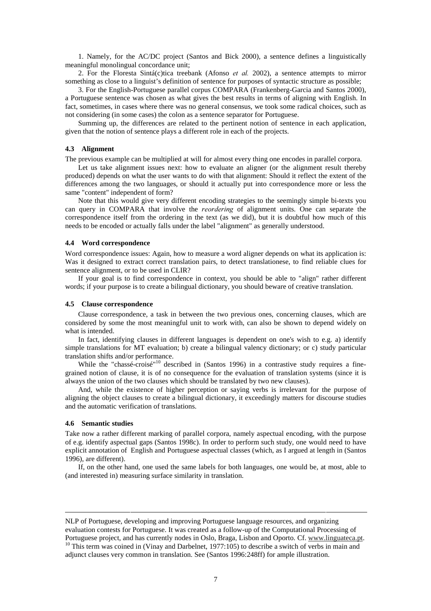1. Namely, for the AC/DC project (Santos and Bick 2000), a sentence defines a linguistically meaningful monolingual concordance unit;

2. For the Floresta Sintá(c)tica treebank (Afonso *et al.* 2002), a sentence attempts to mirror something as close to a linguist's definition of sentence for purposes of syntactic structure as possible;

3. For the English-Portuguese parallel corpus COMPARA (Frankenberg-Garcia and Santos 2000), a Portuguese sentence was chosen as what gives the best results in terms of aligning with English. In fact, sometimes, in cases where there was no general consensus, we took some radical choices, such as not considering (in some cases) the colon as a sentence separator for Portuguese.

Summing up, the differences are related to the pertinent notion of sentence in each application, given that the notion of sentence plays a different role in each of the projects.

### **4.3 Alignment**

The previous example can be multiplied at will for almost every thing one encodes in parallel corpora.

Let us take alignment issues next: how to evaluate an aligner (or the alignment result thereby produced) depends on what the user wants to do with that alignment: Should it reflect the extent of the differences among the two languages, or should it actually put into correspondence more or less the same "content" independent of form?

Note that this would give very different encoding strategies to the seemingly simple bi-texts you can query in COMPARA that involve the *reordering* of alignment units. One can separate the correspondence itself from the ordering in the text (as we did), but it is doubtful how much of this needs to be encoded or actually falls under the label "alignment" as generally understood.

# **4.4 Word correspondence**

Word correspondence issues: Again, how to measure a word aligner depends on what its application is: Was it designed to extract correct translation pairs, to detect translationese, to find reliable clues for sentence alignment, or to be used in CLIR?

If your goal is to find correspondence in context, you should be able to "align" rather different words; if your purpose is to create a bilingual dictionary, you should beware of creative translation.

#### **4.5 Clause correspondence**

Clause correspondence, a task in between the two previous ones, concerning clauses, which are considered by some the most meaningful unit to work with, can also be shown to depend widely on what is intended.

In fact, identifying clauses in different languages is dependent on one's wish to e.g. a) identify simple translations for MT evaluation; b) create a bilingual valency dictionary; or c) study particular translation shifts and/or performance.

While the "chassé-croisé"<sup>10</sup> described in (Santos 1996) in a contrastive study requires a finegrained notion of clause, it is of no consequence for the evaluation of translation systems (since it is always the union of the two clauses which should be translated by two new clauses).

And, while the existence of higher perception or saying verbs is irrelevant for the purpose of aligning the object clauses to create a bilingual dictionary, it exceedingly matters for discourse studies and the automatic verification of translations.

# **4.6 Semantic studies**

-

Take now a rather different marking of parallel corpora, namely aspectual encoding, with the purpose of e.g. identify aspectual gaps (Santos 1998c). In order to perform such study, one would need to have explicit annotation of English and Portuguese aspectual classes (which, as I argued at length in (Santos 1996), are different).

If, on the other hand, one used the same labels for both languages, one would be, at most, able to (and interested in) measuring surface similarity in translation.

NLP of Portuguese, developing and improving Portuguese language resources, and organizing evaluation contests for Portuguese. It was created as a follow-up of the Computational Processing of Portuguese project, and has currently nodes in Oslo, Braga, Lisbon and Oporto. Cf. www.linguateca.pt. <sup>10</sup> This term was coined in (Vinay and Darbelnet, 1977:105) to describe a switch of verbs in main and adjunct clauses very common in translation. See (Santos 1996:248ff) for ample illustration.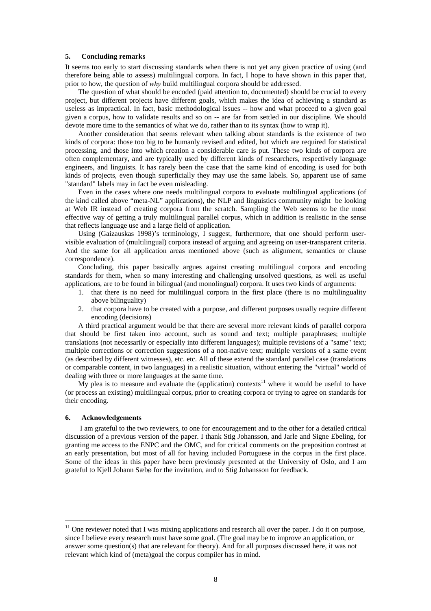### **5. Concluding remarks**

It seems too early to start discussing standards when there is not yet any given practice of using (and therefore being able to assess) multilingual corpora. In fact, I hope to have shown in this paper that, prior to how, the question of  $whv$  build multilingual corpora should be addressed.

The question of what should be encoded (paid attention to, documented) should be crucial to every project, but different projects have different goals, which makes the idea of achieving a standard as useless as impractical. In fact, basic methodological issues -- how and what proceed to a given goal given a corpus, how to validate results and so on -- are far from settled in our discipline. We should devote more time to the semantics of what we do, rather than to its syntax (how to wrap it).

Another consideration that seems relevant when talking about standards is the existence of two kinds of corpora: those too big to be humanly revised and edited, but which are required for statistical processing, and those into which creation a considerable care is put. These two kinds of corpora are often complementary, and are typically used by different kinds of researchers, respectively language engineers, and linguists. It has rarely been the case that the same kind of encoding is used for both kinds of projects, even though superficially they may use the same labels. So, apparent use of same "standard" labels may in fact be even misleading.

Even in the cases where one needs multilingual corpora to evaluate multilingual applications (of the kind called above "meta-NL" applications), the NLP and linguistics community might be looking at Web IR instead of creating corpora from the scratch. Sampling the Web seems to be the most effective way of getting a truly multilingual parallel corpus, which in addition is realistic in the sense that reflects language use and a large field of application.

Using (Gaizauskas 1998)'s terminology, I suggest, furthermore, that one should perform uservisible evaluation of (multilingual) corpora instead of arguing and agreeing on user-transparent criteria. And the same for all application areas mentioned above (such as alignment, semantics or clause correspondence).

Concluding, this paper basically argues against creating multilingual corpora and encoding standards for them, when so many interesting and challenging unsolved questions, as well as useful applications, are to be found in bilingual (and monolingual) corpora. It uses two kinds of arguments:

- 1. that there is no need for multilingual corpora in the first place (there is no multilinguality above bilinguality)
- 2. that corpora have to be created with a purpose, and different purposes usually require different encoding (decisions)

A third practical argument would be that there are several more relevant kinds of parallel corpora that should be first taken into account, such as sound and text; multiple paraphrases; multiple translations (not necessarily or especially into different languages); multiple revisions of a "same" text; multiple corrections or correction suggestions of a non-native text; multiple versions of a same event (as described by different witnesses), etc. etc. All of these extend the standard parallel case (translations or comparable content, in two languages) in a realistic situation, without entering the "virtual" world of dealing with three or more languages at the same time.

 $\overline{My}$  plea is to measure and evaluate the (application) contexts<sup>11</sup> where it would be useful to have (or process an existing) multilingual corpus, prior to creating corpora or trying to agree on standards for their encoding.

# **6. Acknowledgements**

-

I am grateful to the two reviewers, to one for encouragement and to the other for a detailed critical discussion of a previous version of the paper. I thank Stig Johansson, and Jarle and Signe Ebeling, for granting me access to the ENPC and the OMC, and for critical comments on the preposition contrast at an early presentation, but most of all for having included Portuguese in the corpus in the first place. Some of the ideas in this paper have been previously presented at the University of Oslo, and I am grateful to Kjell Johann Sæbø for the invitation, and to Stig Johansson for feedback.

 $11$  One reviewer noted that I was mixing applications and research all over the paper. I do it on purpose, since I believe every research must have some goal. (The goal may be to improve an application, or answer some question(s) that are relevant for theory). And for all purposes discussed here, it was not relevant which kind of (meta)goal the corpus compiler has in mind.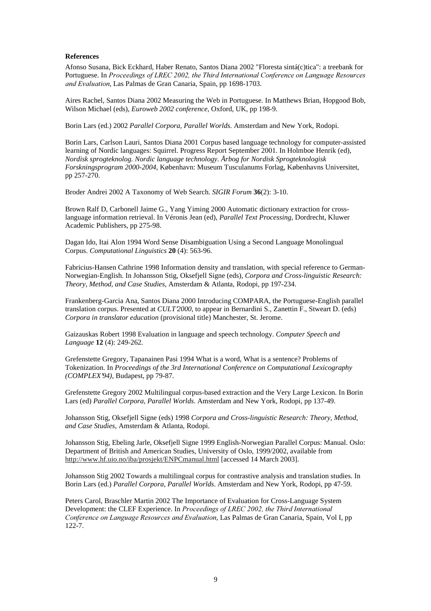# **References**

Afonso Susana, Bick Eckhard, Haber Renato, Santos Diana 2002 "Floresta sintá(c)tica": a treebank for Portuguese. In Proceedings of LREC 2002, the Third International Conference on Language Resources and Evaluation, Las Palmas de Gran Canaria, Spain, pp 1698-1703.

Aires Rachel, Santos Diana 2002 Measuring the Web in Portuguese. In Matthews Brian, Hopgood Bob, Wilson Michael (eds), *Euroweb 2002 conference*, Oxford, UK, pp 198-9.

Borin Lars (ed.) 2002 *Parallel Corpora, Parallel Worlds*. Amsterdam and New York, Rodopi.

Borin Lars, Carlson Lauri, Santos Diana 2001 Corpus based language technology for computer-assisted learning of Nordic languages: Squirrel. Progress Report September 2001. In Holmboe Henrik (ed), *Nordisk sprogteknolog. Nordic language technology. Årbog for Nordisk Sprogteknologisk Forskningsprogram 2000-2004*, København: Museum Tusculanums Forlag, Københavns Universitet, pp 257-270.

Broder Andrei 2002 A Taxonomy of Web Search. *SIGIR Forum* **36**(2): 3-10.

Brown Ralf D, Carbonell Jaime G., Yang Yiming 2000 Automatic dictionary extraction for crosslanguage information retrieval. In Véronis Jean (ed), *Parallel Text Processing*, Dordrecht, Kluwer Academic Publishers, pp 275-98.

Dagan Ido, Itai Alon 1994 Word Sense Disambiguation Using a Second Language Monolingual Corpus. *Computational Linguistics* **20** (4): 563-96.

Fabricius-Hansen Cathrine 1998 Information density and translation, with special reference to German-Norwegian-English. In Johansson Stig, Oksefjell Signe (eds), *Corpora and Cross-linguistic Research: Theory, Method, and Case Studies*, Amsterdam & Atlanta, Rodopi, pp 197-234.

Frankenberg-Garcia Ana, Santos Diana 2000 Introducing COMPARA, the Portuguese-English parallel translation corpus. Presented at *CULT'2000*, to appear in Bernardini S., Zanettin F., Stweart D. (eds) *Corpora in translator education* (provisional title) Manchester, St. Jerome.

Gaizauskas Robert 1998 Evaluation in language and speech technology. *Computer Speech and Language* **12** (4): 249-262.

Grefenstette Gregory, Tapanainen Pasi 1994 What is a word, What is a sentence? Problems of Tokenization. In *Proceedings of the 3rd International Conference on Computational Lexicography (COMPLEX'94)*, Budapest, pp 79-87.

Grefenstette Gregory 2002 Multilingual corpus-based extraction and the Very Large Lexicon. In Borin Lars (ed) *Parallel Corpora, Parallel Worlds*. Amsterdam and New York, Rodopi, pp 137-49.

Johansson Stig, Oksefjell Signe (eds) 1998 *Corpora and Cross-linguistic Research: Theory, Method, and Case Studies*, Amsterdam & Atlanta, Rodopi.

Johansson Stig, Ebeling Jarle, Oksefjell Signe 1999 English-Norwegian Parallel Corpus: Manual. Oslo: Department of British and American Studies, University of Oslo, 1999/2002, available from http://www.hf.uio.no/iba/prosjekt/ENPCmanual.html [accessed 14 March 2003].

Johansson Stig 2002 Towards a multilingual corpus for contrastive analysis and translation studies. In Borin Lars (ed.) *Parallel Corpora, Parallel Worlds*. Amsterdam and New York, Rodopi, pp 47-59.

Peters Carol, Braschler Martin 2002 The Importance of Evaluation for Cross-Language System Development: the CLEF Experience. In *Proceedings of LREC 2002*, the Third International Conference on Language Resources and Evaluation, Las Palmas de Gran Canaria, Spain, Vol I, pp 122-7.